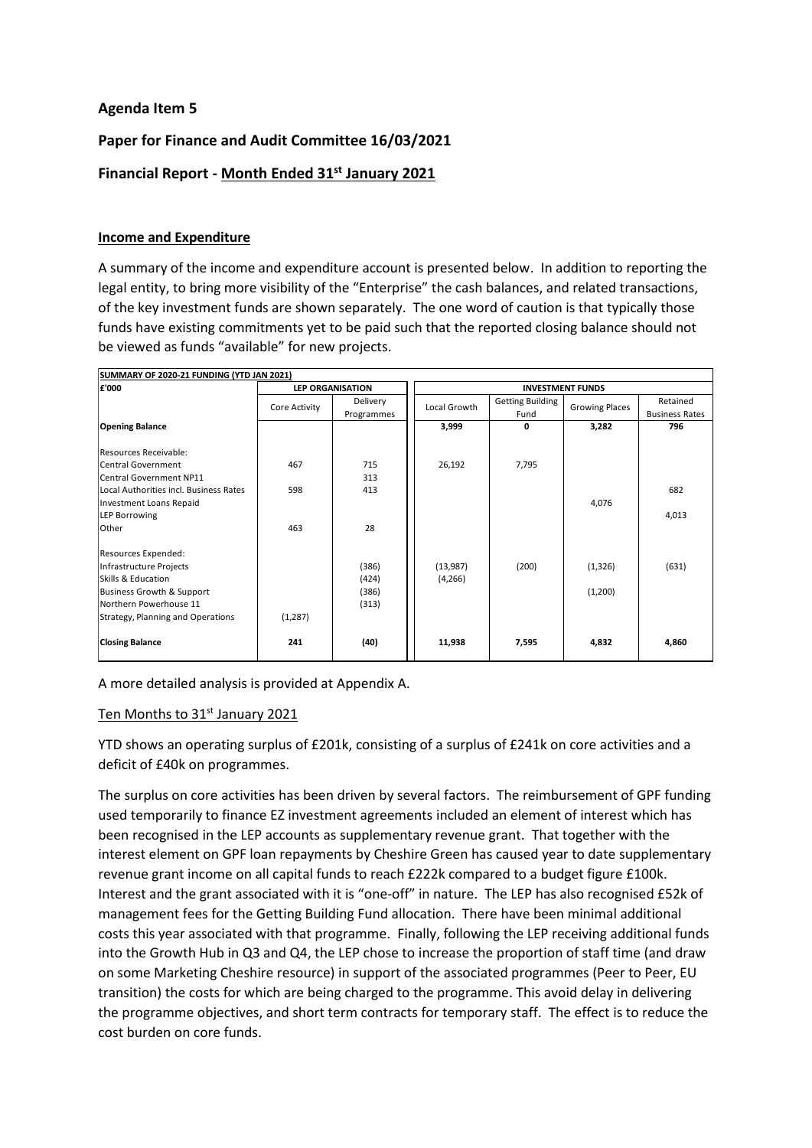## **Agenda Item 5**

## **Paper for Finance and Audit Committee 16/03/2021**

# **Financial Report - Month Ended 31 st January 2021**

#### **Income and Expenditure**

A summary of the income and expenditure account is presented below. In addition to reporting the legal entity, to bring more visibility of the "Enterprise" the cash balances, and related transactions, of the key investment funds are shown separately. The one word of caution is that typically those funds have existing commitments yet to be paid such that the reported closing balance should not be viewed as funds "available" for new projects.

| SUMMARY OF 2020-21 FUNDING (YTD JAN 2021)<br>£'000 |               | <b>LEP ORGANISATION</b>       | <b>INVESTMENT FUNDS</b> |                                 |                       |                                   |  |
|----------------------------------------------------|---------------|-------------------------------|-------------------------|---------------------------------|-----------------------|-----------------------------------|--|
|                                                    | Core Activity | <b>Delivery</b><br>Programmes | Local Growth            | <b>Getting Building</b><br>Fund | <b>Growing Places</b> | Retained<br><b>Business Rates</b> |  |
| <b>Opening Balance</b>                             |               |                               | 3,999                   | 0                               | 3,282                 | 796                               |  |
| Resources Receivable:                              |               |                               |                         |                                 |                       |                                   |  |
| <b>Central Government</b>                          | 467           | 715                           | 26,192                  | 7,795                           |                       |                                   |  |
| <b>Central Government NP11</b>                     |               | 313                           |                         |                                 |                       |                                   |  |
| Local Authorities incl. Business Rates             | 598           | 413                           |                         |                                 |                       | 682                               |  |
| <b>Investment Loans Repaid</b>                     |               |                               |                         |                                 | 4,076                 |                                   |  |
| <b>LEP Borrowing</b>                               |               |                               |                         |                                 |                       | 4,013                             |  |
| Other                                              | 463           | 28                            |                         |                                 |                       |                                   |  |
| Resources Expended:                                |               |                               |                         |                                 |                       |                                   |  |
| Infrastructure Projects                            |               | (386)                         | (13,987)                | (200)                           | (1, 326)              | (631)                             |  |
| Skills & Education                                 |               | (424)                         | (4,266)                 |                                 |                       |                                   |  |
| Business Growth & Support                          |               | (386)                         |                         |                                 | (1,200)               |                                   |  |
| Northern Powerhouse 11                             |               | (313)                         |                         |                                 |                       |                                   |  |
| Strategy, Planning and Operations                  | (1, 287)      |                               |                         |                                 |                       |                                   |  |
| <b>Closing Balance</b>                             | 241           | (40)                          | 11,938                  | 7,595                           | 4,832                 | 4,860                             |  |

A more detailed analysis is provided at Appendix A.

#### <u>Ten Months to 31st January 2021</u>

YTD shows an operating surplus of £201k, consisting of a surplus of £241k on core activities and a deficit of £40k on programmes.

The surplus on core activities has been driven by several factors. The reimbursement of GPF funding used temporarily to finance EZ investment agreements included an element of interest which has been recognised in the LEP accounts as supplementary revenue grant. That together with the interest element on GPF loan repayments by Cheshire Green has caused year to date supplementary revenue grant income on all capital funds to reach £222k compared to a budget figure £100k. Interest and the grant associated with it is "one-off" in nature. The LEP has also recognised £52k of management fees for the Getting Building Fund allocation. There have been minimal additional costs this year associated with that programme. Finally, following the LEP receiving additional funds into the Growth Hub in Q3 and Q4, the LEP chose to increase the proportion of staff time (and draw on some Marketing Cheshire resource) in support of the associated programmes (Peer to Peer, EU transition) the costs for which are being charged to the programme. This avoid delay in delivering the programme objectives, and short term contracts for temporary staff. The effect is to reduce the cost burden on core funds.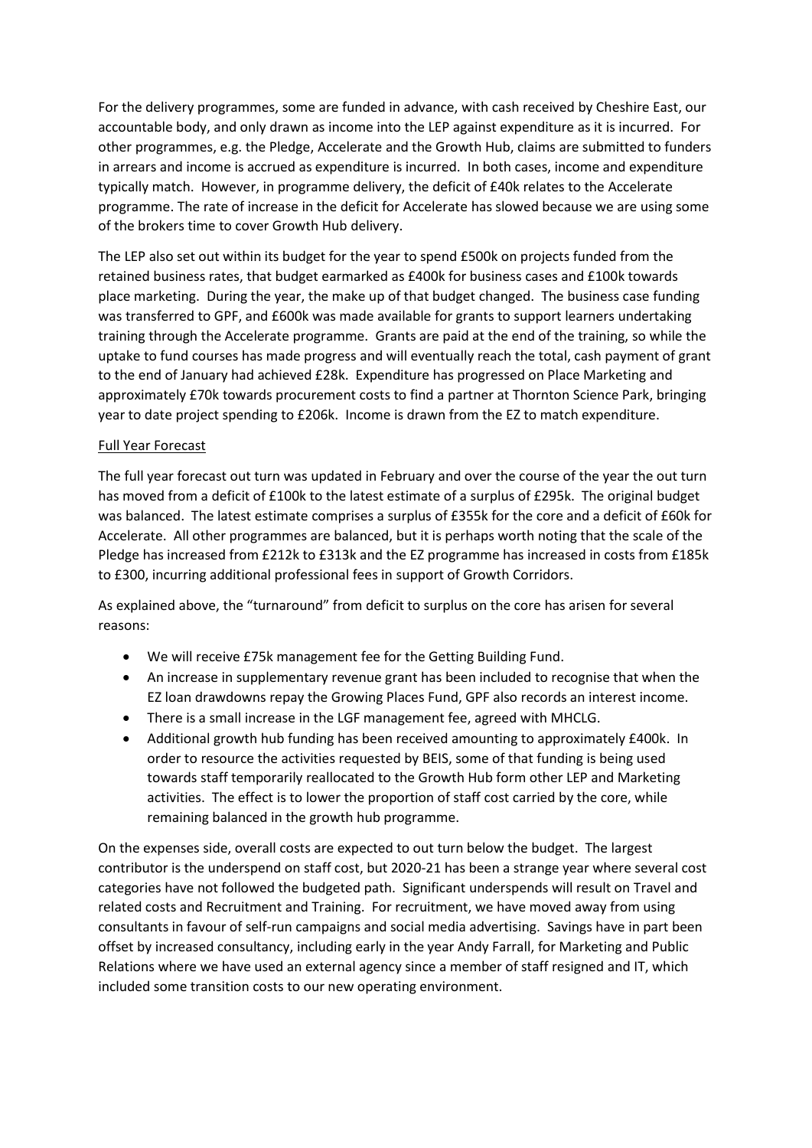For the delivery programmes, some are funded in advance, with cash received by Cheshire East, our accountable body, and only drawn as income into the LEP against expenditure as it is incurred. For other programmes, e.g. the Pledge, Accelerate and the Growth Hub, claims are submitted to funders in arrears and income is accrued as expenditure is incurred. In both cases, income and expenditure typically match. However, in programme delivery, the deficit of £40k relates to the Accelerate programme. The rate of increase in the deficit for Accelerate has slowed because we are using some of the brokers time to cover Growth Hub delivery.

The LEP also set out within its budget for the year to spend £500k on projects funded from the retained business rates, that budget earmarked as £400k for business cases and £100k towards place marketing. During the year, the make up of that budget changed. The business case funding was transferred to GPF, and £600k was made available for grants to support learners undertaking training through the Accelerate programme. Grants are paid at the end of the training, so while the uptake to fund courses has made progress and will eventually reach the total, cash payment of grant to the end of January had achieved £28k. Expenditure has progressed on Place Marketing and approximately £70k towards procurement costs to find a partner at Thornton Science Park, bringing year to date project spending to £206k. Income is drawn from the EZ to match expenditure.

#### Full Year Forecast

The full year forecast out turn was updated in February and over the course of the year the out turn has moved from a deficit of £100k to the latest estimate of a surplus of £295k. The original budget was balanced. The latest estimate comprises a surplus of £355k for the core and a deficit of £60k for Accelerate. All other programmes are balanced, but it is perhaps worth noting that the scale of the Pledge has increased from £212k to £313k and the EZ programme has increased in costs from £185k to £300, incurring additional professional fees in support of Growth Corridors.

As explained above, the "turnaround" from deficit to surplus on the core has arisen for several reasons:

- We will receive £75k management fee for the Getting Building Fund.
- An increase in supplementary revenue grant has been included to recognise that when the EZ loan drawdowns repay the Growing Places Fund, GPF also records an interest income.
- There is a small increase in the LGF management fee, agreed with MHCLG.
- Additional growth hub funding has been received amounting to approximately £400k. In order to resource the activities requested by BEIS, some of that funding is being used towards staff temporarily reallocated to the Growth Hub form other LEP and Marketing activities. The effect is to lower the proportion of staff cost carried by the core, while remaining balanced in the growth hub programme.

On the expenses side, overall costs are expected to out turn below the budget. The largest contributor is the underspend on staff cost, but 2020-21 has been a strange year where several cost categories have not followed the budgeted path. Significant underspends will result on Travel and related costs and Recruitment and Training. For recruitment, we have moved away from using consultants in favour of self-run campaigns and social media advertising. Savings have in part been offset by increased consultancy, including early in the year Andy Farrall, for Marketing and Public Relations where we have used an external agency since a member of staff resigned and IT, which included some transition costs to our new operating environment.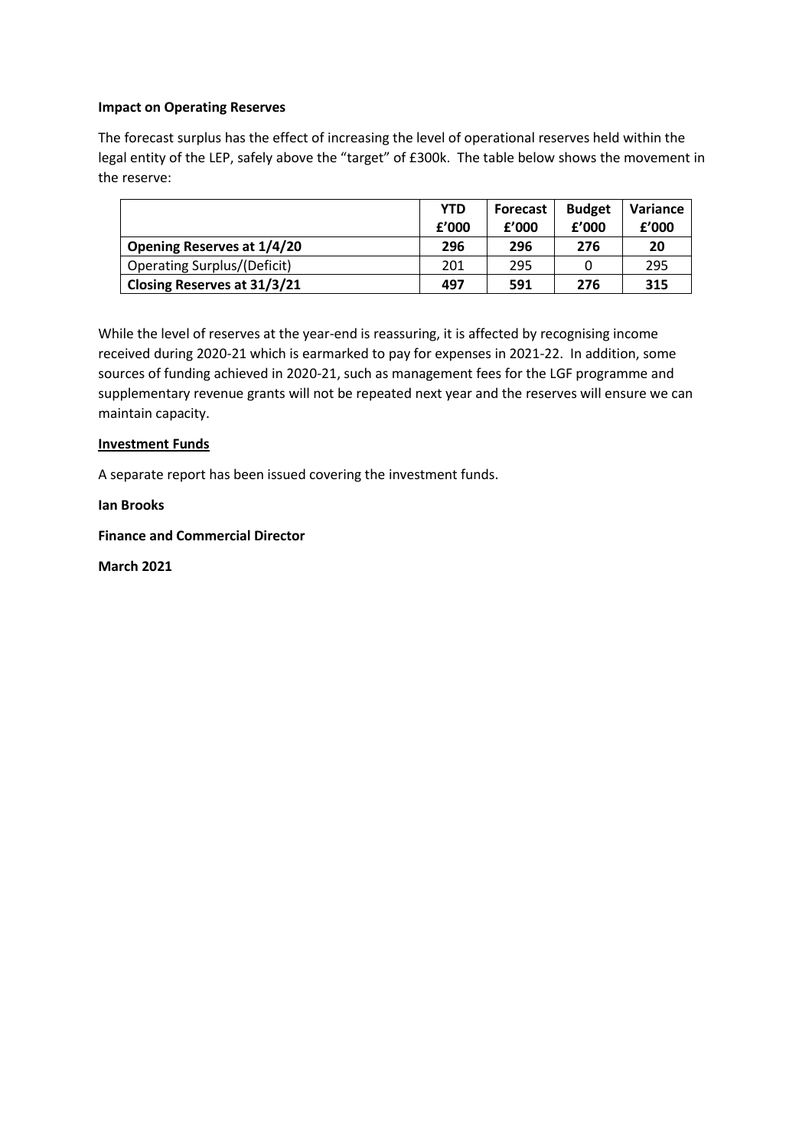#### **Impact on Operating Reserves**

The forecast surplus has the effect of increasing the level of operational reserves held within the legal entity of the LEP, safely above the "target" of £300k. The table below shows the movement in the reserve:

|                                    | <b>YTD</b><br>f'000 | <b>Forecast</b><br>f'000 | <b>Budget</b><br>£'000 | <b>Variance</b><br>f'000 |
|------------------------------------|---------------------|--------------------------|------------------------|--------------------------|
| <b>Opening Reserves at 1/4/20</b>  | 296                 | 296                      | 276                    | 20                       |
| <b>Operating Surplus/(Deficit)</b> | 201                 | 295                      |                        | 295                      |
| <b>Closing Reserves at 31/3/21</b> | 497                 | 591                      | 276                    | 315                      |

While the level of reserves at the year-end is reassuring, it is affected by recognising income received during 2020-21 which is earmarked to pay for expenses in 2021-22. In addition, some sources of funding achieved in 2020-21, such as management fees for the LGF programme and supplementary revenue grants will not be repeated next year and the reserves will ensure we can maintain capacity.

#### **Investment Funds**

A separate report has been issued covering the investment funds.

**Ian Brooks** 

**Finance and Commercial Director**

**March 2021**